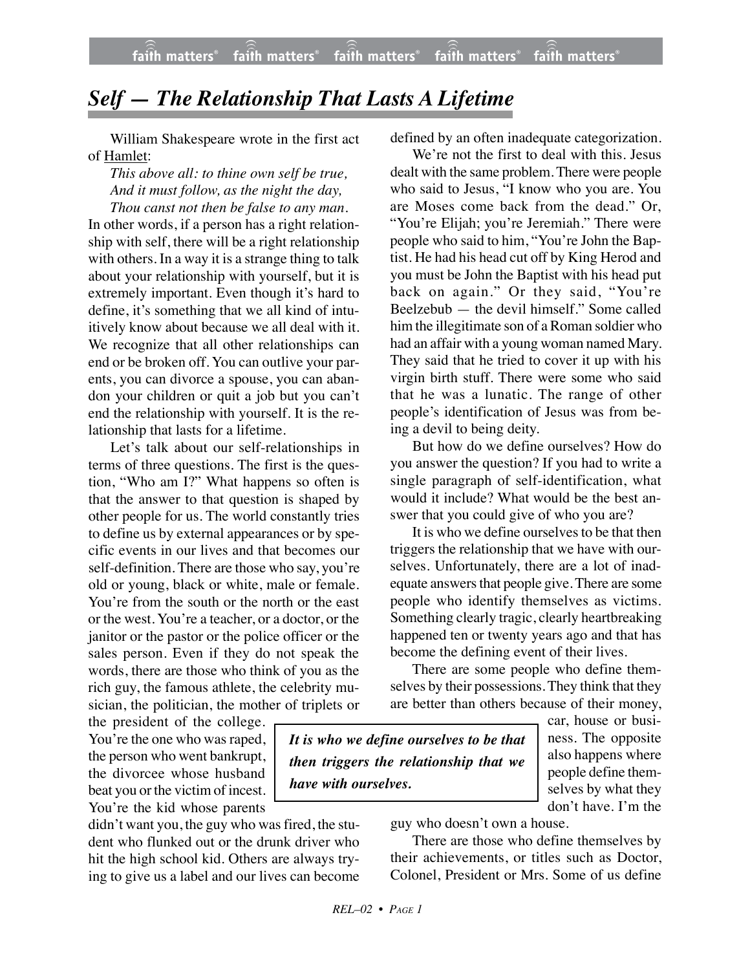## *Self — The Relationship That Lasts A Lifetime*

William Shakespeare wrote in the first act of Hamlet:

*This above all: to thine own self be true, And it must follow, as the night the day, Thou canst not then be false to any man.*

In other words, if a person has a right relationship with self, there will be a right relationship with others. In a way it is a strange thing to talk about your relationship with yourself, but it is extremely important. Even though it's hard to define, it's something that we all kind of intuitively know about because we all deal with it. We recognize that all other relationships can end or be broken off. You can outlive your parents, you can divorce a spouse, you can abandon your children or quit a job but you can't end the relationship with yourself. It is the relationship that lasts for a lifetime.

Let's talk about our self-relationships in terms of three questions. The first is the question, "Who am I?" What happens so often is that the answer to that question is shaped by other people for us. The world constantly tries to define us by external appearances or by specific events in our lives and that becomes our self-definition. There are those who say, you're old or young, black or white, male or female. You're from the south or the north or the east or the west. You're a teacher, or a doctor, or the janitor or the pastor or the police officer or the sales person. Even if they do not speak the words, there are those who think of you as the rich guy, the famous athlete, the celebrity musician, the politician, the mother of triplets or

the president of the college. You're the one who was raped, the person who went bankrupt, the divorcee whose husband beat you or the victim of incest. You're the kid whose parents

defined by an often inadequate categorization.

We're not the first to deal with this. Jesus dealt with the same problem. There were people who said to Jesus, "I know who you are. You are Moses come back from the dead." Or, "You're Elijah; you're Jeremiah." There were people who said to him, "You're John the Baptist. He had his head cut off by King Herod and you must be John the Baptist with his head put back on again." Or they said, "You're Beelzebub — the devil himself." Some called him the illegitimate son of a Roman soldier who had an affair with a young woman named Mary. They said that he tried to cover it up with his virgin birth stuff. There were some who said that he was a lunatic. The range of other people's identification of Jesus was from being a devil to being deity.

But how do we define ourselves? How do you answer the question? If you had to write a single paragraph of self-identification, what would it include? What would be the best answer that you could give of who you are?

It is who we define ourselves to be that then triggers the relationship that we have with ourselves. Unfortunately, there are a lot of inadequate answers that people give. There are some people who identify themselves as victims. Something clearly tragic, clearly heartbreaking happened ten or twenty years ago and that has become the defining event of their lives.

There are some people who define themselves by their possessions. They think that they are better than others because of their money,

*It is who we define ourselves to be that then triggers the relationship that we have with ourselves.*

car, house or business. The opposite also happens where people define themselves by what they don't have. I'm the

didn't want you, the guy who was fired, the student who flunked out or the drunk driver who hit the high school kid. Others are always trying to give us a label and our lives can become guy who doesn't own a house.

There are those who define themselves by their achievements, or titles such as Doctor, Colonel, President or Mrs. Some of us define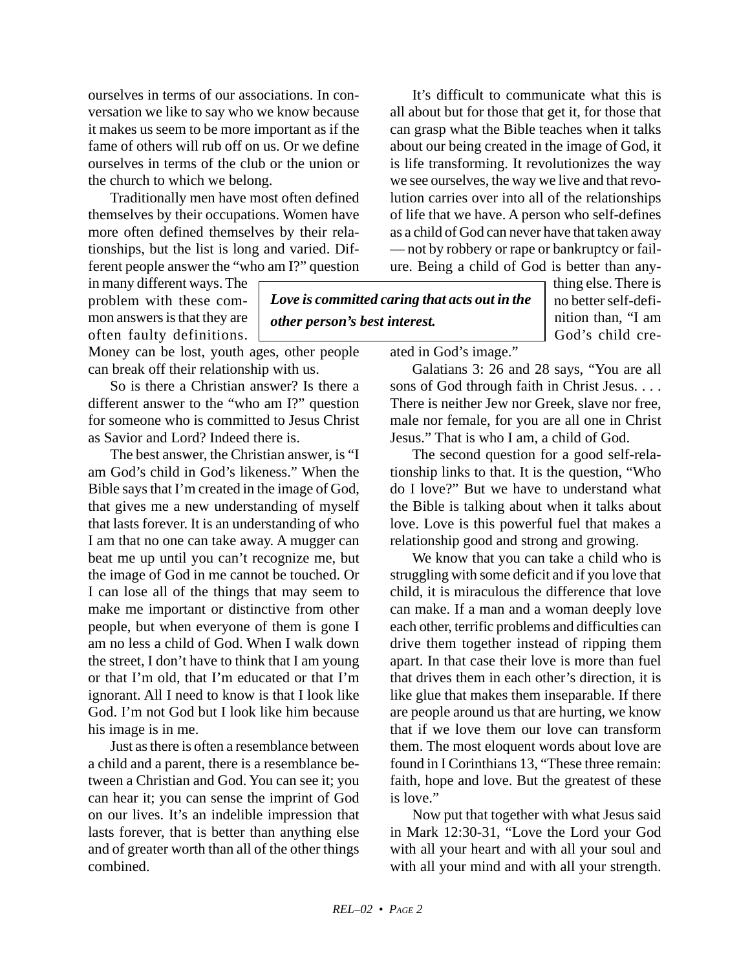ourselves in terms of our associations. In conversation we like to say who we know because it makes us seem to be more important as if the fame of others will rub off on us. Or we define ourselves in terms of the club or the union or the church to which we belong.

Traditionally men have most often defined themselves by their occupations. Women have more often defined themselves by their relationships, but the list is long and varied. Different people answer the "who am I?" question

in many different ways. The problem with these common answers is that they are often faulty definitions.

Money can be lost, youth ages, other people can break off their relationship with us.

So is there a Christian answer? Is there a different answer to the "who am I?" question for someone who is committed to Jesus Christ as Savior and Lord? Indeed there is.

The best answer, the Christian answer, is "I am God's child in God's likeness." When the Bible says that I'm created in the image of God, that gives me a new understanding of myself that lasts forever. It is an understanding of who I am that no one can take away. A mugger can beat me up until you can't recognize me, but the image of God in me cannot be touched. Or I can lose all of the things that may seem to make me important or distinctive from other people, but when everyone of them is gone I am no less a child of God. When I walk down the street, I don't have to think that I am young or that I'm old, that I'm educated or that I'm ignorant. All I need to know is that I look like God. I'm not God but I look like him because his image is in me.

Just as there is often a resemblance between a child and a parent, there is a resemblance between a Christian and God. You can see it; you can hear it; you can sense the imprint of God on our lives. It's an indelible impression that lasts forever, that is better than anything else and of greater worth than all of the other things combined.

It's difficult to communicate what this is all about but for those that get it, for those that can grasp what the Bible teaches when it talks about our being created in the image of God, it is life transforming. It revolutionizes the way we see ourselves, the way we live and that revolution carries over into all of the relationships of life that we have. A person who self-defines as a child of God can never have that taken away — not by robbery or rape or bankruptcy or failure. Being a child of God is better than any-

*Love is committed caring that acts out in the other person's best interest.*

thing else. There is no better self-definition than, "I am God's child cre-

ated in God's image."

Galatians 3: 26 and 28 says, "You are all sons of God through faith in Christ Jesus. . . . There is neither Jew nor Greek, slave nor free, male nor female, for you are all one in Christ Jesus." That is who I am, a child of God.

The second question for a good self-relationship links to that. It is the question, "Who do I love?" But we have to understand what the Bible is talking about when it talks about love. Love is this powerful fuel that makes a relationship good and strong and growing.

We know that you can take a child who is struggling with some deficit and if you love that child, it is miraculous the difference that love can make. If a man and a woman deeply love each other, terrific problems and difficulties can drive them together instead of ripping them apart. In that case their love is more than fuel that drives them in each other's direction, it is like glue that makes them inseparable. If there are people around us that are hurting, we know that if we love them our love can transform them. The most eloquent words about love are found in I Corinthians 13, "These three remain: faith, hope and love. But the greatest of these is love."

Now put that together with what Jesus said in Mark 12:30-31, "Love the Lord your God with all your heart and with all your soul and with all your mind and with all your strength.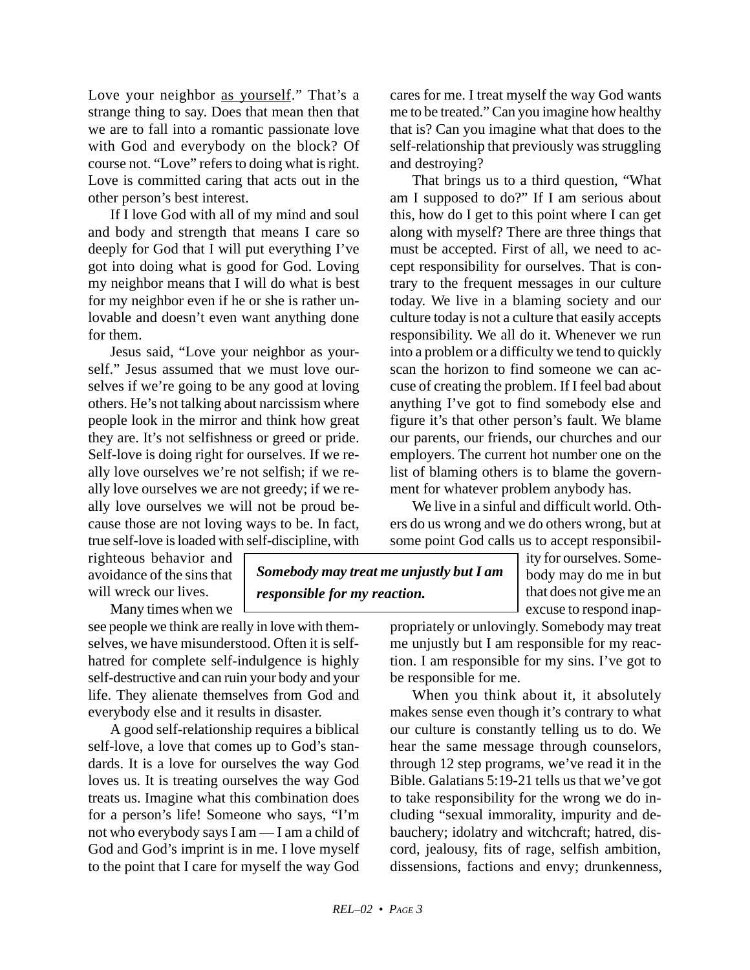Love your neighbor as yourself." That's a strange thing to say. Does that mean then that we are to fall into a romantic passionate love with God and everybody on the block? Of course not. "Love" refers to doing what is right. Love is committed caring that acts out in the other person's best interest.

If I love God with all of my mind and soul and body and strength that means I care so deeply for God that I will put everything I've got into doing what is good for God. Loving my neighbor means that I will do what is best for my neighbor even if he or she is rather unlovable and doesn't even want anything done for them.

Jesus said, "Love your neighbor as yourself." Jesus assumed that we must love ourselves if we're going to be any good at loving others. He's not talking about narcissism where people look in the mirror and think how great they are. It's not selfishness or greed or pride. Self-love is doing right for ourselves. If we really love ourselves we're not selfish; if we really love ourselves we are not greedy; if we really love ourselves we will not be proud because those are not loving ways to be. In fact, true self-love is loaded with self-discipline, with

righteous behavior and avoidance of the sins that will wreck our lives.

Many times when we

see people we think are really in love with themselves, we have misunderstood. Often it is selfhatred for complete self-indulgence is highly self-destructive and can ruin your body and your life. They alienate themselves from God and everybody else and it results in disaster.

A good self-relationship requires a biblical self-love, a love that comes up to God's standards. It is a love for ourselves the way God loves us. It is treating ourselves the way God treats us. Imagine what this combination does for a person's life! Someone who says, "I'm not who everybody says I am — I am a child of God and God's imprint is in me. I love myself to the point that I care for myself the way God

cares for me. I treat myself the way God wants me to be treated." Can you imagine how healthy that is? Can you imagine what that does to the self-relationship that previously was struggling and destroying?

That brings us to a third question, "What am I supposed to do?" If I am serious about this, how do I get to this point where I can get along with myself? There are three things that must be accepted. First of all, we need to accept responsibility for ourselves. That is contrary to the frequent messages in our culture today. We live in a blaming society and our culture today is not a culture that easily accepts responsibility. We all do it. Whenever we run into a problem or a difficulty we tend to quickly scan the horizon to find someone we can accuse of creating the problem. If I feel bad about anything I've got to find somebody else and figure it's that other person's fault. We blame our parents, our friends, our churches and our employers. The current hot number one on the list of blaming others is to blame the government for whatever problem anybody has.

We live in a sinful and difficult world. Others do us wrong and we do others wrong, but at some point God calls us to accept responsibil-

> ity for ourselves. Somebody may do me in but that does not give me an excuse to respond inap-

propriately or unlovingly. Somebody may treat me unjustly but I am responsible for my reaction. I am responsible for my sins. I've got to be responsible for me.

When you think about it, it absolutely makes sense even though it's contrary to what our culture is constantly telling us to do. We hear the same message through counselors, through 12 step programs, we've read it in the Bible. Galatians 5:19-21 tells us that we've got to take responsibility for the wrong we do including "sexual immorality, impurity and debauchery; idolatry and witchcraft; hatred, discord, jealousy, fits of rage, selfish ambition, dissensions, factions and envy; drunkenness,

*Somebody may treat me unjustly but I am*

*responsible for my reaction.*